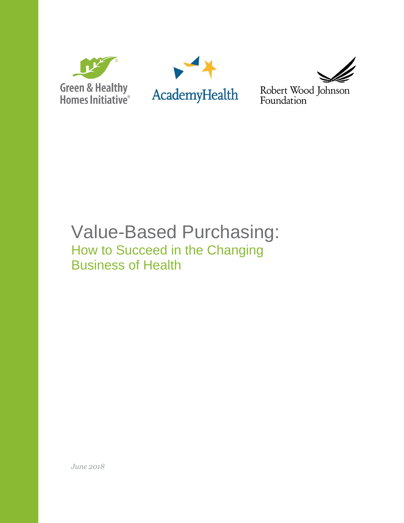





Robert Wood Johnson<br>Foundation

# Value-Based Purchasing: How to Succeed in the Changing Business of Health

*June 2018*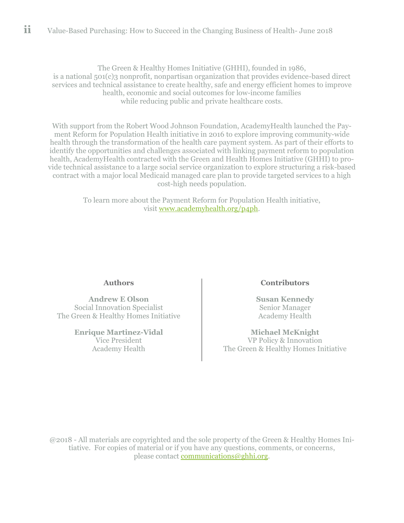The Green & Healthy Homes Initiative (GHHI), founded in 1986, is a national 501(c)3 nonprofit, nonpartisan organization that provides evidence-based direct services and technical assistance to create healthy, safe and energy efficient homes to improve health, economic and social outcomes for low-income families while reducing public and private healthcare costs.

With support from the Robert Wood Johnson Foundation, AcademyHealth launched the Payment Reform for Population Health initiative in 2016 to explore improving community-wide health through the transformation of the health care payment system. As part of their efforts to identify the opportunities and challenges associated with linking payment reform to population health, AcademyHealth contracted with the Green and Health Homes Initiative (GHHI) to provide technical assistance to a large social service organization to explore structuring a risk-based contract with a major local Medicaid managed care plan to provide targeted services to a high cost-high needs population.

> To learn more about the Payment Reform for Population Health initiative, visit www.academyhealth.org/p4ph.

#### **Authors**

**Andrew E Olson** Social Innovation Specialist The Green & Healthy Homes Initiative

> **Enrique Martinez-Vidal** Vice President Academy Health

#### **Contributors**

**Susan Kennedy** Senior Manager Academy Health

**Michael McKnight** VP Policy & Innovation The Green & Healthy Homes Initiative

@2018 - All materials are copyrighted and the sole property of the Green & Healthy Homes Initiative. For copies of material or if you have any questions, comments, or concerns, please contact [communications@ghhi.org.](mailto:communications@ghhi.org)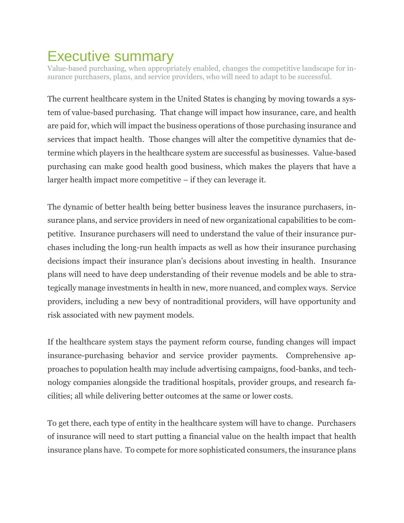## <span id="page-2-0"></span>Executive summary

Value-based purchasing, when appropriately enabled, changes the competitive landscape for insurance purchasers, plans, and service providers, who will need to adapt to be successful.

The current healthcare system in the United States is changing by moving towards a system of value-based purchasing. That change will impact how insurance, care, and health are paid for, which will impact the business operations of those purchasing insurance and services that impact health. Those changes will alter the competitive dynamics that determine which players in the healthcare system are successful as businesses. Value-based purchasing can make good health good business, which makes the players that have a larger health impact more competitive – if they can leverage it.

The dynamic of better health being better business leaves the insurance purchasers, insurance plans, and service providers in need of new organizational capabilities to be competitive. Insurance purchasers will need to understand the value of their insurance purchases including the long-run health impacts as well as how their insurance purchasing decisions impact their insurance plan's decisions about investing in health. Insurance plans will need to have deep understanding of their revenue models and be able to strategically manage investments in health in new, more nuanced, and complex ways. Service providers, including a new bevy of nontraditional providers, will have opportunity and risk associated with new payment models.

If the healthcare system stays the payment reform course, funding changes will impact insurance-purchasing behavior and service provider payments. Comprehensive approaches to population health may include advertising campaigns, food-banks, and technology companies alongside the traditional hospitals, provider groups, and research facilities; all while delivering better outcomes at the same or lower costs.

To get there, each type of entity in the healthcare system will have to change. Purchasers of insurance will need to start putting a financial value on the health impact that health insurance plans have. To compete for more sophisticated consumers, the insurance plans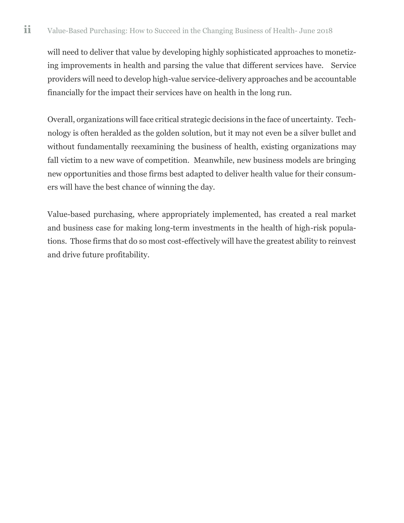will need to deliver that value by developing highly sophisticated approaches to monetizing improvements in health and parsing the value that different services have. Service providers will need to develop high-value service-delivery approaches and be accountable financially for the impact their services have on health in the long run.

Overall, organizations will face critical strategic decisions in the face of uncertainty. Technology is often heralded as the golden solution, but it may not even be a silver bullet and without fundamentally reexamining the business of health, existing organizations may fall victim to a new wave of competition. Meanwhile, new business models are bringing new opportunities and those firms best adapted to deliver health value for their consumers will have the best chance of winning the day.

Value-based purchasing, where appropriately implemented, has created a real market and business case for making long-term investments in the health of high-risk populations. Those firms that do so most cost-effectively will have the greatest ability to reinvest and drive future profitability.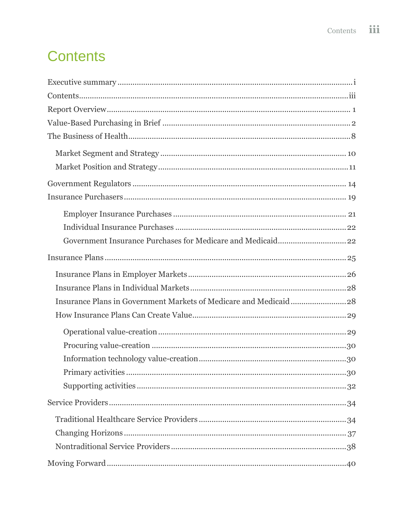# <span id="page-4-0"></span>**Contents**

| 30 |  |  |  |  |
|----|--|--|--|--|
|    |  |  |  |  |
|    |  |  |  |  |
|    |  |  |  |  |
|    |  |  |  |  |
|    |  |  |  |  |
|    |  |  |  |  |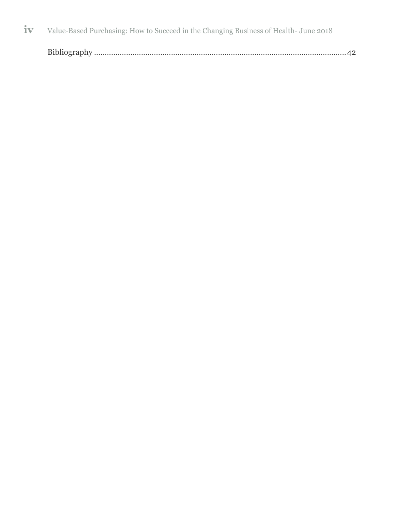|--|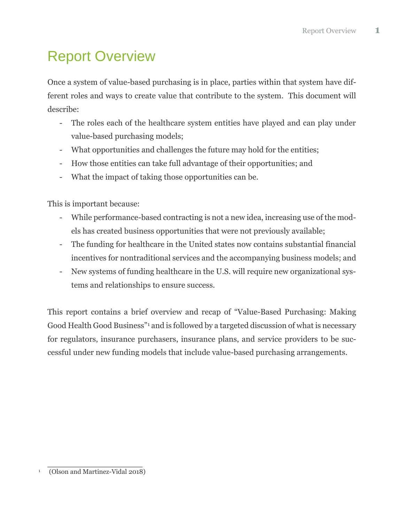# <span id="page-6-0"></span>Report Overview

Once a system of value-based purchasing is in place, parties within that system have different roles and ways to create value that contribute to the system. This document will describe:

- The roles each of the healthcare system entities have played and can play under value-based purchasing models;
- What opportunities and challenges the future may hold for the entities;
- How those entities can take full advantage of their opportunities; and
- What the impact of taking those opportunities can be.

This is important because:

- While performance-based contracting is not a new idea, increasing use of the models has created business opportunities that were not previously available;
- The funding for healthcare in the United states now contains substantial financial incentives for nontraditional services and the accompanying business models; and
- New systems of funding healthcare in the U.S. will require new organizational systems and relationships to ensure success.

This report contains a brief overview and recap of "Value-Based Purchasing: Making Good Health Good Business" <sup>1</sup> and is followed by a targeted discussion of what is necessary for regulators, insurance purchasers, insurance plans, and service providers to be successful under new funding models that include value-based purchasing arrangements.

<sup>&</sup>lt;sup>1</sup> (Olson and Martinez-Vidal 2018)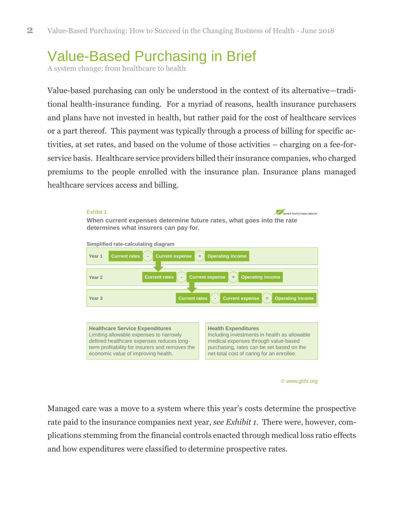## <span id="page-7-0"></span>Value-Based Purchasing in Brief

A system change: from healthcare to health

Value-based purchasing can only be understood in the context of its alternative—traditional health-insurance funding. For a myriad of reasons, health insurance purchasers and plans have not invested in health, but rather paid for the cost of healthcare services or a part thereof. This payment was typically through a process of billing for specific activities, at set rates, and based on the volume of those activities – charging on a fee-forservice basis. Healthcare service providers billed their insurance companies, who charged premiums to the people enrolled with the insurance plan. Insurance plans managed healthcare services access and billing.





Managed care was a move to a system where this year's costs determine the prospective rate paid to the insurance companies next year, *see Exhibit 1*. There were, however, complications stemming from the financial controls enacted through medical loss ratio effects and how expenditures were classified to determine prospective rates.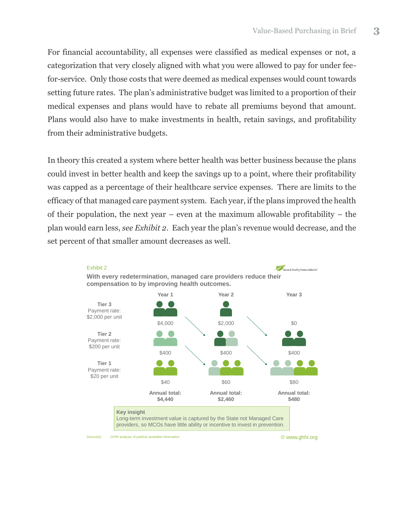For financial accountability, all expenses were classified as medical expenses or not, a categorization that very closely aligned with what you were allowed to pay for under feefor-service. Only those costs that were deemed as medical expenses would count towards setting future rates. The plan's administrative budget was limited to a proportion of their medical expenses and plans would have to rebate all premiums beyond that amount. Plans would also have to make investments in health, retain savings, and profitability from their administrative budgets.

In theory this created a system where better health was better business because the plans could invest in better health and keep the savings up to a point, where their profitability was capped as a percentage of their healthcare service expenses. There are limits to the efficacy of that managed care payment system. Each year, if the plans improved the health of their population, the next year – even at the maximum allowable profitability – the plan would earn less, *see Exhibit 2*. Each year the plan's revenue would decrease, and the set percent of that smaller amount decreases as well.





© www.ghhi.org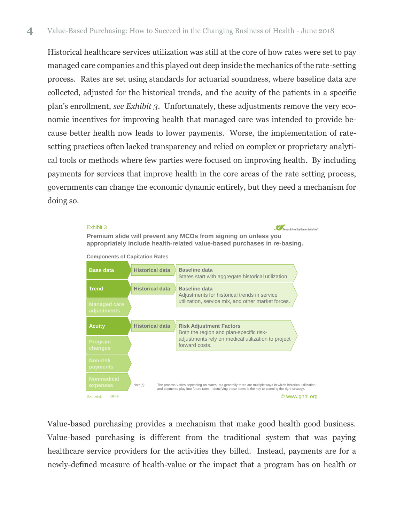Historical healthcare services utilization was still at the core of how rates were set to pay managed care companies and this played out deep inside the mechanics of the rate-setting process. Rates are set using standards for actuarial soundness, where baseline data are collected, adjusted for the historical trends, and the acuity of the patients in a specific plan's enrollment, *see Exhibit 3*. Unfortunately, these adjustments remove the very economic incentives for improving health that managed care was intended to provide because better health now leads to lower payments. Worse, the implementation of ratesetting practices often lacked transparency and relied on complex or proprietary analytical tools or methods where few parties were focused on improving health. By including payments for services that improve health in the core areas of the rate setting process, governments can change the economic dynamic entirely, but they need a mechanism for doing so.

#### Exhibit 3

Green & Healthy Homes Initiative' **Premium slide will prevent any MCOs from signing on unless you appropriately include health-related value-based purchases in re-basing.**





Value-based purchasing provides a mechanism that make good health good business. Value-based purchasing is different from the traditional system that was paying healthcare service providers for the activities they billed. Instead, payments are for a newly-defined measure of health-value or the impact that a program has on health or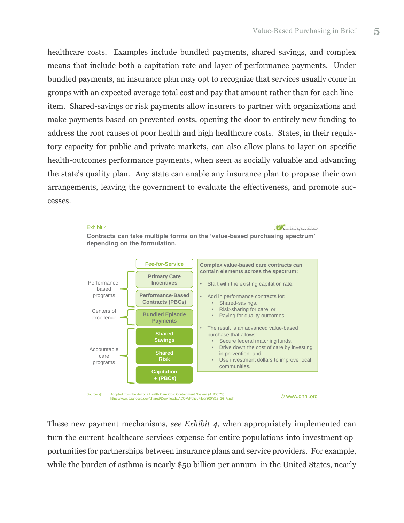healthcare costs. Examples include bundled payments, shared savings, and complex means that include both a capitation rate and layer of performance payments. Under bundled payments, an insurance plan may opt to recognize that services usually come in groups with an expected average total cost and pay that amount rather than for each lineitem. Shared-savings or risk payments allow insurers to partner with organizations and make payments based on prevented costs, opening the door to entirely new funding to address the root causes of poor health and high healthcare costs. States, in their regulatory capacity for public and private markets, can also allow plans to layer on specific health-outcomes performance payments, when seen as socially valuable and advancing the state's quality plan. Any state can enable any insurance plan to propose their own arrangements, leaving the government to evaluate the effectiveness, and promote successes.



These new payment mechanisms, *see Exhibit 4*, when appropriately implemented can turn the current healthcare services expense for entire populations into investment opportunities for partnerships between insurance plans and service providers. For example, while the burden of asthma is nearly \$50 billion per annum in the United States, nearly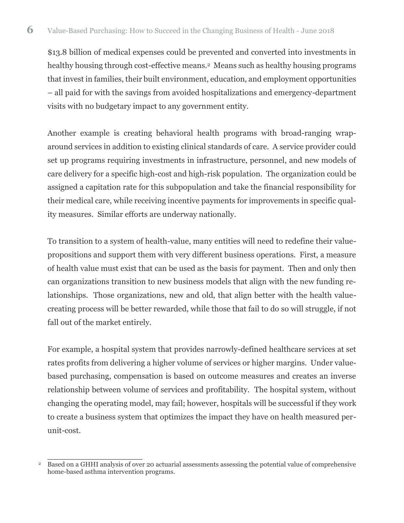\$13.8 billion of medical expenses could be prevented and converted into investments in healthy housing through cost-effective means. <sup>2</sup> Means such as healthy housing programs that invest in families, their built environment, education, and employment opportunities – all paid for with the savings from avoided hospitalizations and emergency-department visits with no budgetary impact to any government entity.

Another example is creating behavioral health programs with broad-ranging wraparound services in addition to existing clinical standards of care. A service provider could set up programs requiring investments in infrastructure, personnel, and new models of care delivery for a specific high-cost and high-risk population. The organization could be assigned a capitation rate for this subpopulation and take the financial responsibility for their medical care, while receiving incentive payments for improvements in specific quality measures. Similar efforts are underway nationally.

To transition to a system of health-value, many entities will need to redefine their valuepropositions and support them with very different business operations. First, a measure of health value must exist that can be used as the basis for payment. Then and only then can organizations transition to new business models that align with the new funding relationships. Those organizations, new and old, that align better with the health valuecreating process will be better rewarded, while those that fail to do so will struggle, if not fall out of the market entirely.

For example, a hospital system that provides narrowly-defined healthcare services at set rates profits from delivering a higher volume of services or higher margins. Under valuebased purchasing, compensation is based on outcome measures and creates an inverse relationship between volume of services and profitability. The hospital system, without changing the operating model, may fail; however, hospitals will be successful if they work to create a business system that optimizes the impact they have on health measured perunit-cost.

<sup>&</sup>lt;sup>2</sup> Based on a GHHI analysis of over 20 actuarial assessments assessing the potential value of comprehensive home-based asthma intervention programs.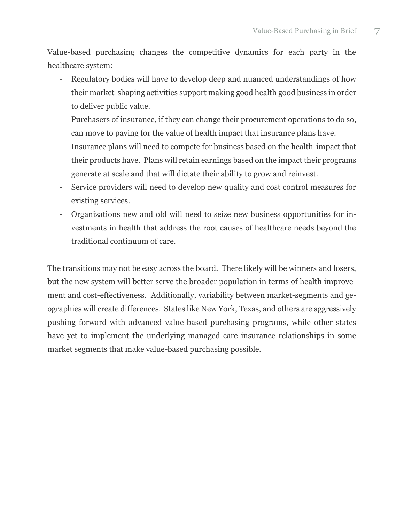Value-based purchasing changes the competitive dynamics for each party in the healthcare system:

- Regulatory bodies will have to develop deep and nuanced understandings of how their market-shaping activities support making good health good business in order to deliver public value.
- Purchasers of insurance, if they can change their procurement operations to do so, can move to paying for the value of health impact that insurance plans have.
- Insurance plans will need to compete for business based on the health-impact that their products have. Plans will retain earnings based on the impact their programs generate at scale and that will dictate their ability to grow and reinvest.
- Service providers will need to develop new quality and cost control measures for existing services.
- Organizations new and old will need to seize new business opportunities for investments in health that address the root causes of healthcare needs beyond the traditional continuum of care.

The transitions may not be easy across the board. There likely will be winners and losers, but the new system will better serve the broader population in terms of health improvement and cost-effectiveness. Additionally, variability between market-segments and geographies will create differences. States like New York, Texas, and others are aggressively pushing forward with advanced value-based purchasing programs, while other states have yet to implement the underlying managed-care insurance relationships in some market segments that make value-based purchasing possible.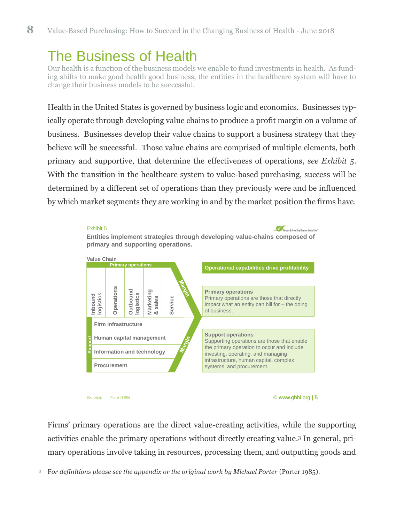## <span id="page-13-0"></span>The Business of Health

Our health is a function of the business models we enable to fund investments in health. As funding shifts to make good health good business, the entities in the healthcare system will have to change their business models to be successful.

Health in the United States is governed by business logic and economics. Businesses typically operate through developing value chains to produce a profit margin on a volume of business. Businesses develop their value chains to support a business strategy that they believe will be successful. Those value chains are comprised of multiple elements, both primary and supportive, that determine the effectiveness of operations, *see Exhibit 5*. With the transition in the healthcare system to value-based purchasing, success will be determined by a different set of operations than they previously were and be influenced by which market segments they are working in and by the market position the firms have.



Firms' primary operations are the direct value-creating activities, while the supporting activities enable the primary operations without directly creating value. <sup>3</sup> In general, primary operations involve taking in resources, processing them, and outputting goods and

<sup>&</sup>lt;sup>3</sup> For definitions please see the appendix or the original work by Michael Porter (Porter 1985).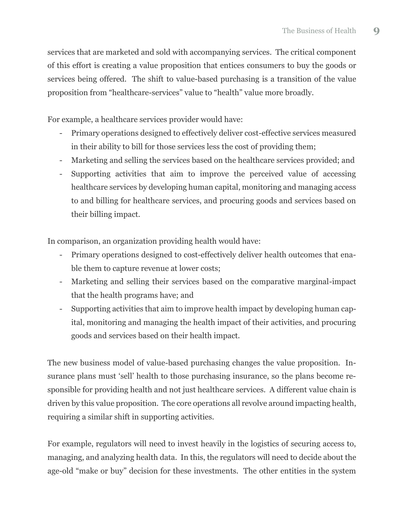services that are marketed and sold with accompanying services. The critical component of this effort is creating a value proposition that entices consumers to buy the goods or services being offered. The shift to value-based purchasing is a transition of the value proposition from "healthcare-services" value to "health" value more broadly.

For example, a healthcare services provider would have:

- Primary operations designed to effectively deliver cost-effective services measured in their ability to bill for those services less the cost of providing them;
- Marketing and selling the services based on the healthcare services provided; and
- Supporting activities that aim to improve the perceived value of accessing healthcare services by developing human capital, monitoring and managing access to and billing for healthcare services, and procuring goods and services based on their billing impact.

In comparison, an organization providing health would have:

- Primary operations designed to cost-effectively deliver health outcomes that enable them to capture revenue at lower costs;
- Marketing and selling their services based on the comparative marginal-impact that the health programs have; and
- Supporting activities that aim to improve health impact by developing human capital, monitoring and managing the health impact of their activities, and procuring goods and services based on their health impact.

The new business model of value-based purchasing changes the value proposition. Insurance plans must 'sell' health to those purchasing insurance, so the plans become responsible for providing health and not just healthcare services. A different value chain is driven by this value proposition. The core operations all revolve around impacting health, requiring a similar shift in supporting activities.

For example, regulators will need to invest heavily in the logistics of securing access to, managing, and analyzing health data. In this, the regulators will need to decide about the age-old "make or buy" decision for these investments. The other entities in the system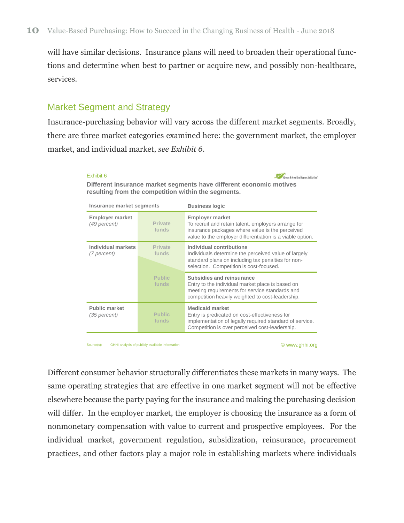will have similar decisions. Insurance plans will need to broaden their operational functions and determine when best to partner or acquire new, and possibly non-healthcare, services.

### <span id="page-15-0"></span>Market Segment and Strategy

Insurance-purchasing behavior will vary across the different market segments. Broadly, there are three market categories examined here: the government market, the employer market, and individual market, *see Exhibit 6*.

#### Exhibit 6

Green & Healthy Homes Initiative'

| Different insurance market segments have different economic motives |  |
|---------------------------------------------------------------------|--|
| resulting from the competition within the segments.                 |  |

| Insurance market segments                |                         | <b>Business logic</b>                                                                                                                                                                         |
|------------------------------------------|-------------------------|-----------------------------------------------------------------------------------------------------------------------------------------------------------------------------------------------|
| <b>Employer market</b><br>(49 percent)   | <b>Private</b><br>funds | <b>Employer market</b><br>To recruit and retain talent, employers arrange for<br>insurance packages where value is the perceived<br>value to the employer differentiation is a viable option. |
| <b>Individual markets</b><br>(7 percent) | <b>Private</b><br>funds | Individual contributions<br>Individuals determine the perceived value of largely<br>standard plans on including tax penalties for non-<br>selection. Competition is cost-focused.             |
|                                          | <b>Public</b><br>funds  | Subsidies and reinsurance<br>Entry to the individual market place is based on<br>meeting requirements for service standards and<br>competition heavily weighted to cost-leadership.           |
| <b>Public market</b><br>(35 percent)     | <b>Public</b><br>funds  | <b>Medicaid market</b><br>Entry is predicated on cost-effectiveness for<br>implementation of legally required standard of service.<br>Competition is over perceived cost-leadership.          |
|                                          |                         |                                                                                                                                                                                               |

Source(s): GHHI analysis of publicly available information

© www.ghhi.org

Different consumer behavior structurally differentiates these markets in many ways. The same operating strategies that are effective in one market segment will not be effective elsewhere because the party paying for the insurance and making the purchasing decision will differ. In the employer market, the employer is choosing the insurance as a form of nonmonetary compensation with value to current and prospective employees. For the individual market, government regulation, subsidization, reinsurance, procurement practices, and other factors play a major role in establishing markets where individuals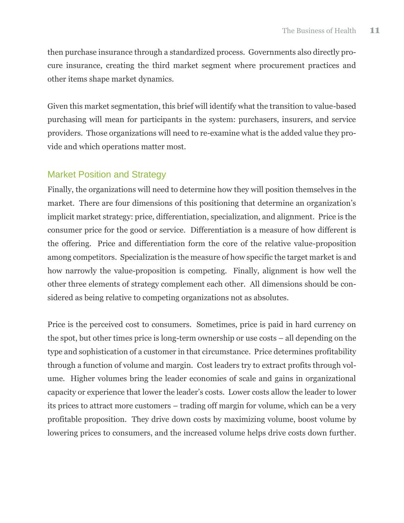then purchase insurance through a standardized process. Governments also directly procure insurance, creating the third market segment where procurement practices and other items shape market dynamics.

Given this market segmentation, this brief will identify what the transition to value-based purchasing will mean for participants in the system: purchasers, insurers, and service providers. Those organizations will need to re-examine what is the added value they provide and which operations matter most.

### <span id="page-16-0"></span>Market Position and Strategy

Finally, the organizations will need to determine how they will position themselves in the market. There are four dimensions of this positioning that determine an organization's implicit market strategy: price, differentiation, specialization, and alignment. Price is the consumer price for the good or service. Differentiation is a measure of how different is the offering. Price and differentiation form the core of the relative value-proposition among competitors. Specialization is the measure of how specific the target market is and how narrowly the value-proposition is competing. Finally, alignment is how well the other three elements of strategy complement each other. All dimensions should be considered as being relative to competing organizations not as absolutes.

Price is the perceived cost to consumers. Sometimes, price is paid in hard currency on the spot, but other times price is long-term ownership or use costs – all depending on the type and sophistication of a customer in that circumstance. Price determines profitability through a function of volume and margin. Cost leaders try to extract profits through volume. Higher volumes bring the leader economies of scale and gains in organizational capacity or experience that lower the leader's costs. Lower costs allow the leader to lower its prices to attract more customers – trading off margin for volume, which can be a very profitable proposition. They drive down costs by maximizing volume, boost volume by lowering prices to consumers, and the increased volume helps drive costs down further.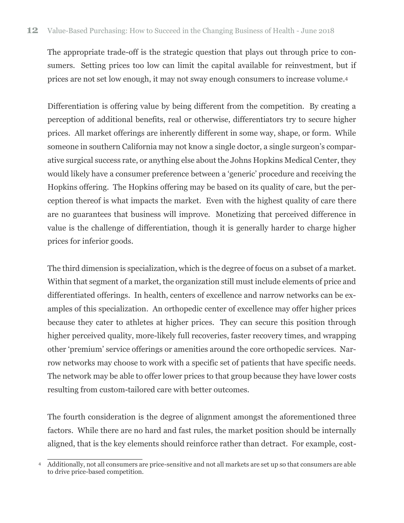The appropriate trade-off is the strategic question that plays out through price to consumers. Setting prices too low can limit the capital available for reinvestment, but if prices are not set low enough, it may not sway enough consumers to increase volume. 4

Differentiation is offering value by being different from the competition. By creating a perception of additional benefits, real or otherwise, differentiators try to secure higher prices. All market offerings are inherently different in some way, shape, or form. While someone in southern California may not know a single doctor, a single surgeon's comparative surgical success rate, or anything else about the Johns Hopkins Medical Center, they would likely have a consumer preference between a 'generic' procedure and receiving the Hopkins offering. The Hopkins offering may be based on its quality of care, but the perception thereof is what impacts the market. Even with the highest quality of care there are no guarantees that business will improve. Monetizing that perceived difference in value is the challenge of differentiation, though it is generally harder to charge higher prices for inferior goods.

The third dimension is specialization, which is the degree of focus on a subset of a market. Within that segment of a market, the organization still must include elements of price and differentiated offerings. In health, centers of excellence and narrow networks can be examples of this specialization. An orthopedic center of excellence may offer higher prices because they cater to athletes at higher prices. They can secure this position through higher perceived quality, more-likely full recoveries, faster recovery times, and wrapping other 'premium' service offerings or amenities around the core orthopedic services. Narrow networks may choose to work with a specific set of patients that have specific needs. The network may be able to offer lower prices to that group because they have lower costs resulting from custom-tailored care with better outcomes.

The fourth consideration is the degree of alignment amongst the aforementioned three factors. While there are no hard and fast rules, the market position should be internally aligned, that is the key elements should reinforce rather than detract. For example, cost-

<sup>4</sup> Additionally, not all consumers are price-sensitive and not all markets are set up so that consumers are able to drive price-based competition.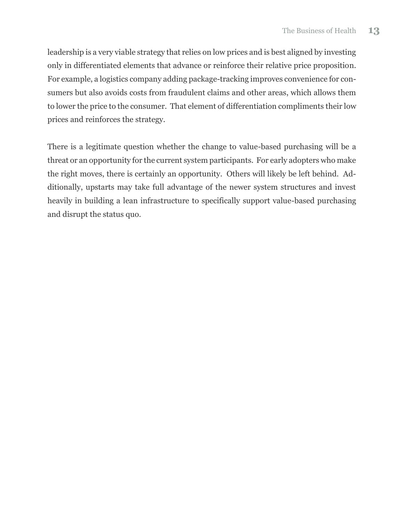leadership is a very viable strategy that relies on low prices and is best aligned by investing only in differentiated elements that advance or reinforce their relative price proposition. For example, a logistics company adding package-tracking improves convenience for consumers but also avoids costs from fraudulent claims and other areas, which allows them to lower the price to the consumer. That element of differentiation compliments their low prices and reinforces the strategy.

There is a legitimate question whether the change to value-based purchasing will be a threat or an opportunity for the current system participants. For early adopters who make the right moves, there is certainly an opportunity. Others will likely be left behind. Additionally, upstarts may take full advantage of the newer system structures and invest heavily in building a lean infrastructure to specifically support value-based purchasing and disrupt the status quo.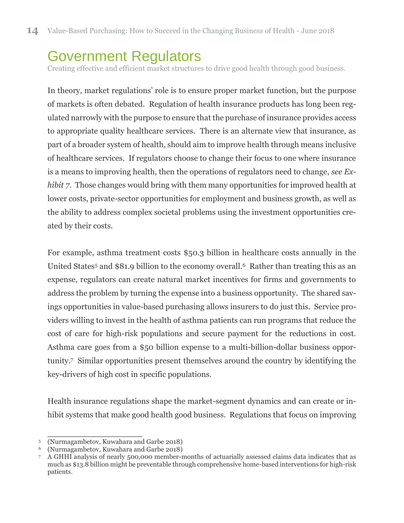## <span id="page-19-0"></span>Government Regulators

Creating effective and efficient market structures to drive good health through good business.

In theory, market regulations' role is to ensure proper market function, but the purpose of markets is often debated. Regulation of health insurance products has long been regulated narrowly with the purpose to ensure that the purchase of insurance provides access to appropriate quality healthcare services. There is an alternate view that insurance, as part of a broader system of health, should aim to improve health through means inclusive of healthcare services. If regulators choose to change their focus to one where insurance is a means to improving health, then the operations of regulators need to change, *see Exhibit 7*. Those changes would bring with them many opportunities for improved health at lower costs, private-sector opportunities for employment and business growth, as well as the ability to address complex societal problems using the investment opportunities created by their costs.

For example, asthma treatment costs \$50.3 billion in healthcare costs annually in the United States<sup>5</sup> and \$81.9 billion to the economy overall.<sup>6</sup> Rather than treating this as an expense, regulators can create natural market incentives for firms and governments to address the problem by turning the expense into a business opportunity. The shared savings opportunities in value-based purchasing allows insurers to do just this. Service providers willing to invest in the health of asthma patients can run programs that reduce the cost of care for high-risk populations and secure payment for the reductions in cost. Asthma care goes from a \$50 billion expense to a multi-billion-dollar business opportunity.7 Similar opportunities present themselves around the country by identifying the key-drivers of high cost in specific populations.

Health insurance regulations shape the market-segment dynamics and can create or inhibit systems that make good health good business. Regulations that focus on improving

1

<sup>5</sup> (Nurmagambetov, Kuwahara and Garbe 2018)

<sup>6</sup> (Nurmagambetov, Kuwahara and Garbe 2018)

<sup>7</sup> A GHHI analysis of nearly 500,000 member-months of actuarially assessed claims data indicates that as much as \$13.8 billion might be preventable through comprehensive home-based interventions for high-risk patients.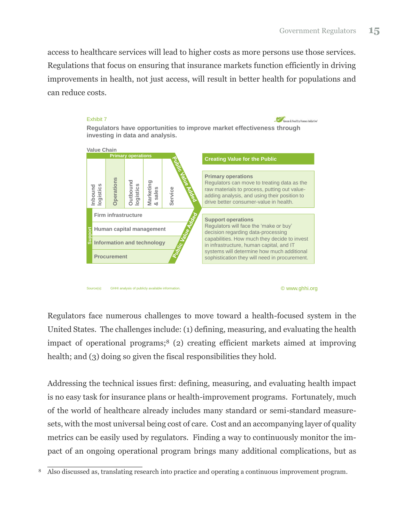access to healthcare services will lead to higher costs as more persons use those services. Regulations that focus on ensuring that insurance markets function efficiently in driving improvements in health, not just access, will result in better health for populations and can reduce costs.



Regulators face numerous challenges to move toward a health-focused system in the United States. The challenges include: (1) defining, measuring, and evaluating the health impact of operational programs; <sup>8</sup> (2) creating efficient markets aimed at improving health; and (3) doing so given the fiscal responsibilities they hold.

Addressing the technical issues first: defining, measuring, and evaluating health impact is no easy task for insurance plans or health-improvement programs. Fortunately, much of the world of healthcare already includes many standard or semi-standard measuresets, with the most universal being cost of care. Cost and an accompanying layer of quality metrics can be easily used by regulators. Finding a way to continuously monitor the impact of an ongoing operational program brings many additional complications, but as

<sup>&</sup>lt;sup>8</sup> Also discussed as, translating research into practice and operating a continuous improvement program.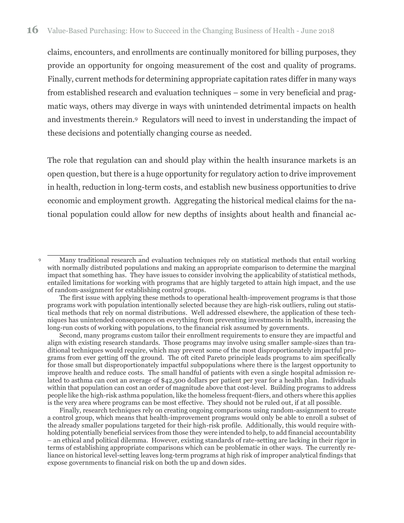claims, encounters, and enrollments are continually monitored for billing purposes, they provide an opportunity for ongoing measurement of the cost and quality of programs. Finally, current methods for determining appropriate capitation rates differ in many ways from established research and evaluation techniques – some in very beneficial and pragmatic ways, others may diverge in ways with unintended detrimental impacts on health and investments therein.9 Regulators will need to invest in understanding the impact of these decisions and potentially changing course as needed.

The role that regulation can and should play within the health insurance markets is an open question, but there is a huge opportunity for regulatory action to drive improvement in health, reduction in long-term costs, and establish new business opportunities to drive economic and employment growth. Aggregating the historical medical claims for the national population could allow for new depths of insights about health and financial ac-

1

<sup>9</sup> Many traditional research and evaluation techniques rely on statistical methods that entail working with normally distributed populations and making an appropriate comparison to determine the marginal impact that something has. They have issues to consider involving the applicability of statistical methods, entailed limitations for working with programs that are highly targeted to attain high impact, and the use of random-assignment for establishing control groups.

The first issue with applying these methods to operational health-improvement programs is that those programs work with population intentionally selected because they are high-risk outliers, ruling out statistical methods that rely on normal distributions. Well addressed elsewhere, the application of these techniques has unintended consequences on everything from preventing investments in health, increasing the long-run costs of working with populations, to the financial risk assumed by governments.

Second, many programs custom tailor their enrollment requirements to ensure they are impactful and align with existing research standards. Those programs may involve using smaller sample-sizes than traditional techniques would require, which may prevent some of the most disproportionately impactful programs from ever getting off the ground. The oft cited Pareto principle leads programs to aim specifically for those small but disproportionately impactful subpopulations where there is the largest opportunity to improve health and reduce costs. The small handful of patients with even a single hospital admission related to asthma can cost an average of \$42,500 dollars per patient per year for a health plan. Individuals within that population can cost an order of magnitude above that cost-level. Building programs to address people like the high-risk asthma population, like the homeless frequent-fliers, and others where this applies is the very area where programs can be most effective. They should not be ruled out, if at all possible.

Finally, research techniques rely on creating ongoing comparisons using random-assignment to create a control group, which means that health-improvement programs would only be able to enroll a subset of the already smaller populations targeted for their high-risk profile. Additionally, this would require withholding potentially beneficial services from those they were intended to help, to add financial accountability – an ethical and political dilemma. However, existing standards of rate-setting are lacking in their rigor in terms of establishing appropriate comparisons which can be problematic in other ways. The currently reliance on historical level-setting leaves long-term programs at high risk of improper analytical findings that expose governments to financial risk on both the up and down sides.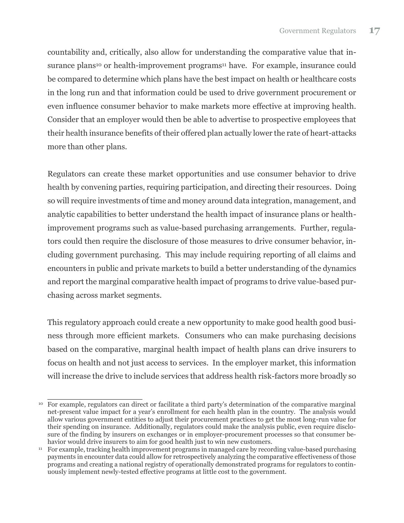countability and, critically, also allow for understanding the comparative value that insurance plans<sup>10</sup> or health-improvement programs<sup>11</sup> have. For example, insurance could be compared to determine which plans have the best impact on health or healthcare costs in the long run and that information could be used to drive government procurement or even influence consumer behavior to make markets more effective at improving health. Consider that an employer would then be able to advertise to prospective employees that their health insurance benefits of their offered plan actually lower the rate of heart-attacks more than other plans.

Regulators can create these market opportunities and use consumer behavior to drive health by convening parties, requiring participation, and directing their resources. Doing so will require investments of time and money around data integration, management, and analytic capabilities to better understand the health impact of insurance plans or healthimprovement programs such as value-based purchasing arrangements. Further, regulators could then require the disclosure of those measures to drive consumer behavior, including government purchasing. This may include requiring reporting of all claims and encounters in public and private markets to build a better understanding of the dynamics and report the marginal comparative health impact of programs to drive value-based purchasing across market segments.

This regulatory approach could create a new opportunity to make good health good business through more efficient markets. Consumers who can make purchasing decisions based on the comparative, marginal health impact of health plans can drive insurers to focus on health and not just access to services. In the employer market, this information will increase the drive to include services that address health risk-factors more broadly so

j <sup>10</sup> For example, regulators can direct or facilitate a third party's determination of the comparative marginal net-present value impact for a year's enrollment for each health plan in the country. The analysis would allow various government entities to adjust their procurement practices to get the most long-run value for their spending on insurance. Additionally, regulators could make the analysis public, even require disclosure of the finding by insurers on exchanges or in employer-procurement processes so that consumer behavior would drive insurers to aim for good health just to win new customers.

<sup>11</sup> For example, tracking health improvement programs in managed care by recording value-based purchasing payments in encounter data could allow for retrospectively analyzing the comparative effectiveness of those programs and creating a national registry of operationally demonstrated programs for regulators to continuously implement newly-tested effective programs at little cost to the government.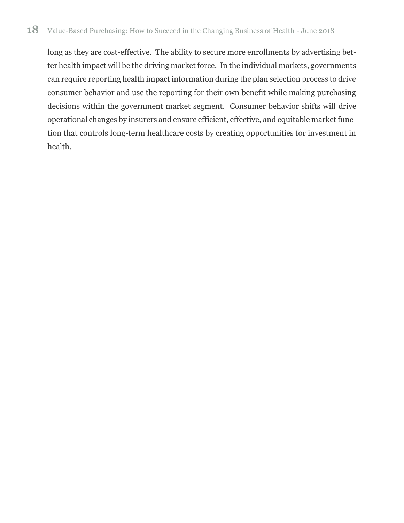### **18** Value-Based Purchasing: How to Succeed in the Changing Business of Health - June 2018

long as they are cost-effective. The ability to secure more enrollments by advertising better health impact will be the driving market force. In the individual markets, governments can require reporting health impact information during the plan selection process to drive consumer behavior and use the reporting for their own benefit while making purchasing decisions within the government market segment. Consumer behavior shifts will drive operational changes by insurers and ensure efficient, effective, and equitable market function that controls long-term healthcare costs by creating opportunities for investment in health.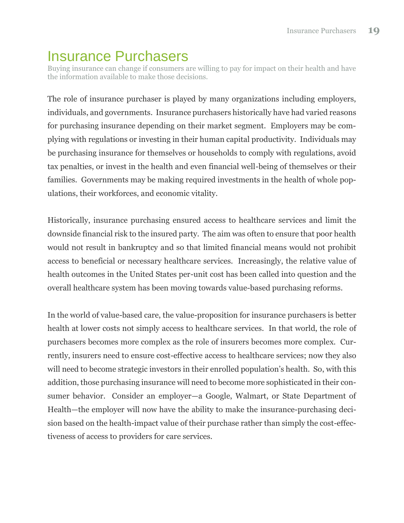## <span id="page-24-0"></span>Insurance Purchasers

Buying insurance can change if consumers are willing to pay for impact on their health and have the information available to make those decisions.

The role of insurance purchaser is played by many organizations including employers, individuals, and governments. Insurance purchasers historically have had varied reasons for purchasing insurance depending on their market segment. Employers may be complying with regulations or investing in their human capital productivity. Individuals may be purchasing insurance for themselves or households to comply with regulations, avoid tax penalties, or invest in the health and even financial well-being of themselves or their families. Governments may be making required investments in the health of whole populations, their workforces, and economic vitality.

Historically, insurance purchasing ensured access to healthcare services and limit the downside financial risk to the insured party. The aim was often to ensure that poor health would not result in bankruptcy and so that limited financial means would not prohibit access to beneficial or necessary healthcare services. Increasingly, the relative value of health outcomes in the United States per-unit cost has been called into question and the overall healthcare system has been moving towards value-based purchasing reforms.

In the world of value-based care, the value-proposition for insurance purchasers is better health at lower costs not simply access to healthcare services. In that world, the role of purchasers becomes more complex as the role of insurers becomes more complex. Currently, insurers need to ensure cost-effective access to healthcare services; now they also will need to become strategic investors in their enrolled population's health. So, with this addition, those purchasing insurance will need to become more sophisticated in their consumer behavior. Consider an employer—a Google, Walmart, or State Department of Health—the employer will now have the ability to make the insurance-purchasing decision based on the health-impact value of their purchase rather than simply the cost-effectiveness of access to providers for care services.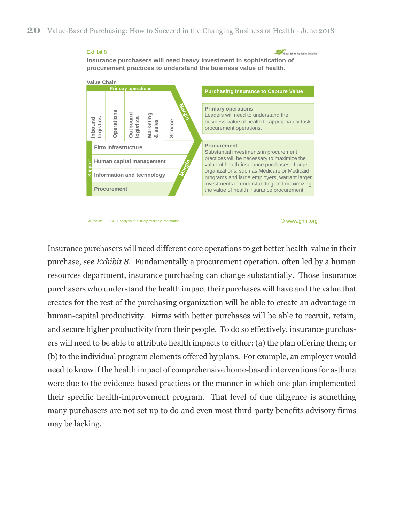#### Exhibit 8

Green & Healthy Homes Initiative'

**Insurance purchasers will need heavy investment in sophistication of procurement practices to understand the business value of health.**



Source(s): GHHI analysis of publicly available information

© www.ghhi.org

Insurance purchasers will need different core operations to get better health-value in their purchase, *see Exhibit 8*. Fundamentally a procurement operation, often led by a human resources department, insurance purchasing can change substantially. Those insurance purchasers who understand the health impact their purchases will have and the value that creates for the rest of the purchasing organization will be able to create an advantage in human-capital productivity. Firms with better purchases will be able to recruit, retain, and secure higher productivity from their people. To do so effectively, insurance purchasers will need to be able to attribute health impacts to either: (a) the plan offering them; or (b) to the individual program elements offered by plans. For example, an employer would need to know if the health impact of comprehensive home-based interventions for asthma were due to the evidence-based practices or the manner in which one plan implemented their specific health-improvement program. That level of due diligence is something many purchasers are not set up to do and even most third-party benefits advisory firms may be lacking.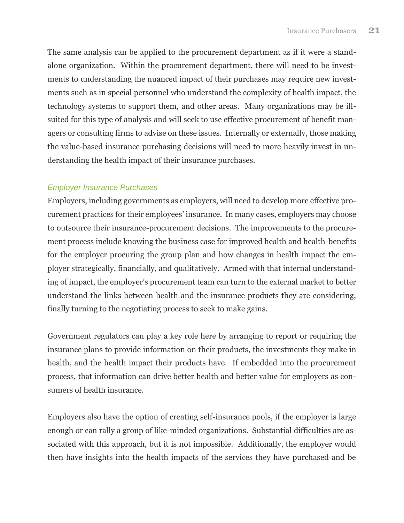The same analysis can be applied to the procurement department as if it were a standalone organization. Within the procurement department, there will need to be investments to understanding the nuanced impact of their purchases may require new investments such as in special personnel who understand the complexity of health impact, the technology systems to support them, and other areas. Many organizations may be illsuited for this type of analysis and will seek to use effective procurement of benefit managers or consulting firms to advise on these issues. Internally or externally, those making the value-based insurance purchasing decisions will need to more heavily invest in understanding the health impact of their insurance purchases.

### <span id="page-26-0"></span>*Employer Insurance Purchases*

Employers, including governments as employers, will need to develop more effective procurement practices for their employees' insurance. In many cases, employers may choose to outsource their insurance-procurement decisions. The improvements to the procurement process include knowing the business case for improved health and health-benefits for the employer procuring the group plan and how changes in health impact the employer strategically, financially, and qualitatively. Armed with that internal understanding of impact, the employer's procurement team can turn to the external market to better understand the links between health and the insurance products they are considering, finally turning to the negotiating process to seek to make gains.

Government regulators can play a key role here by arranging to report or requiring the insurance plans to provide information on their products, the investments they make in health, and the health impact their products have. If embedded into the procurement process, that information can drive better health and better value for employers as consumers of health insurance.

Employers also have the option of creating self-insurance pools, if the employer is large enough or can rally a group of like-minded organizations. Substantial difficulties are associated with this approach, but it is not impossible. Additionally, the employer would then have insights into the health impacts of the services they have purchased and be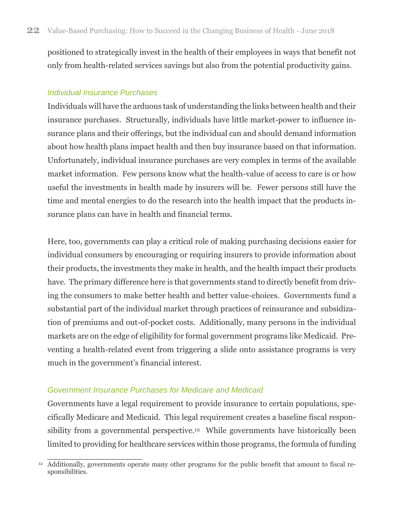positioned to strategically invest in the health of their employees in ways that benefit not only from health-related services savings but also from the potential productivity gains.

#### <span id="page-27-0"></span>*Individual Insurance Purchases*

Individuals will have the arduous task of understanding the links between health and their insurance purchases. Structurally, individuals have little market-power to influence insurance plans and their offerings, but the individual can and should demand information about how health plans impact health and then buy insurance based on that information. Unfortunately, individual insurance purchases are very complex in terms of the available market information. Few persons know what the health-value of access to care is or how useful the investments in health made by insurers will be. Fewer persons still have the time and mental energies to do the research into the health impact that the products insurance plans can have in health and financial terms.

Here, too, governments can play a critical role of making purchasing decisions easier for individual consumers by encouraging or requiring insurers to provide information about their products, the investments they make in health, and the health impact their products have. The primary difference here is that governments stand to directly benefit from driving the consumers to make better health and better value-choices. Governments fund a substantial part of the individual market through practices of reinsurance and subsidization of premiums and out-of-pocket costs. Additionally, many persons in the individual markets are on the edge of eligibility for formal government programs like Medicaid. Preventing a health-related event from triggering a slide onto assistance programs is very much in the government's financial interest.

#### <span id="page-27-1"></span>*Government Insurance Purchases for Medicare and Medicaid*

Governments have a legal requirement to provide insurance to certain populations, specifically Medicare and Medicaid. This legal requirement creates a baseline fiscal responsibility from a governmental perspective.<sup>12</sup> While governments have historically been limited to providing for healthcare services within those programs, the formula of funding

<sup>1</sup> <sup>12</sup> Additionally, governments operate many other programs for the public benefit that amount to fiscal responsibilities.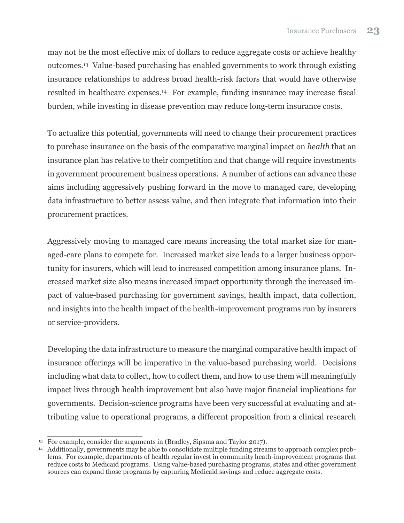may not be the most effective mix of dollars to reduce aggregate costs or achieve healthy outcomes.13 Value-based purchasing has enabled governments to work through existing insurance relationships to address broad health-risk factors that would have otherwise resulted in healthcare expenses.14 For example, funding insurance may increase fiscal burden, while investing in disease prevention may reduce long-term insurance costs.

To actualize this potential, governments will need to change their procurement practices to purchase insurance on the basis of the comparative marginal impact on *health* that an insurance plan has relative to their competition and that change will require investments in government procurement business operations. A number of actions can advance these aims including aggressively pushing forward in the move to managed care, developing data infrastructure to better assess value, and then integrate that information into their procurement practices.

Aggressively moving to managed care means increasing the total market size for managed-care plans to compete for. Increased market size leads to a larger business opportunity for insurers, which will lead to increased competition among insurance plans. Increased market size also means increased impact opportunity through the increased impact of value-based purchasing for government savings, health impact, data collection, and insights into the health impact of the health-improvement programs run by insurers or service-providers.

Developing the data infrastructure to measure the marginal comparative health impact of insurance offerings will be imperative in the value-based purchasing world. Decisions including what data to collect, how to collect them, and how to use them will meaningfully impact lives through health improvement but also have major financial implications for governments. Decision-science programs have been very successful at evaluating and attributing value to operational programs, a different proposition from a clinical research

<sup>1</sup> <sup>13</sup> For example, consider the arguments in (Bradley, Sipsma and Taylor 2017).

<sup>&</sup>lt;sup>14</sup> Additionally, governments may be able to consolidate multiple funding streams to approach complex problems. For example, departments of health regular invest in community heath-improvement programs that reduce costs to Medicaid programs. Using value-based purchasing programs, states and other government sources can expand those programs by capturing Medicaid savings and reduce aggregate costs.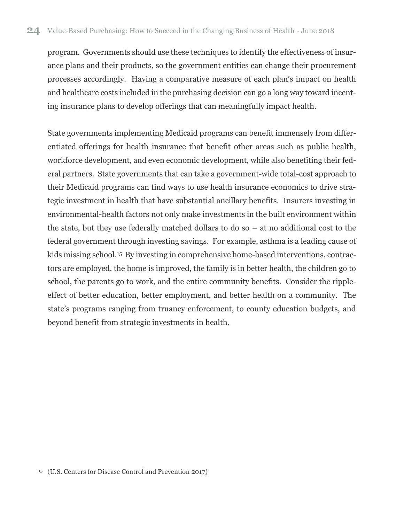program. Governments should use these techniques to identify the effectiveness of insurance plans and their products, so the government entities can change their procurement processes accordingly. Having a comparative measure of each plan's impact on health and healthcare costs included in the purchasing decision can go a long way toward incenting insurance plans to develop offerings that can meaningfully impact health.

State governments implementing Medicaid programs can benefit immensely from differentiated offerings for health insurance that benefit other areas such as public health, workforce development, and even economic development, while also benefiting their federal partners. State governments that can take a government-wide total-cost approach to their Medicaid programs can find ways to use health insurance economics to drive strategic investment in health that have substantial ancillary benefits. Insurers investing in environmental-health factors not only make investments in the built environment within the state, but they use federally matched dollars to do so – at no additional cost to the federal government through investing savings. For example, asthma is a leading cause of kids missing school. <sup>15</sup> By investing in comprehensive home-based interventions, contractors are employed, the home is improved, the family is in better health, the children go to school, the parents go to work, and the entire community benefits. Consider the rippleeffect of better education, better employment, and better health on a community. The state's programs ranging from truancy enforcement, to county education budgets, and beyond benefit from strategic investments in health.

 <sup>15</sup> (U.S. Centers for Disease Control and Prevention 2017)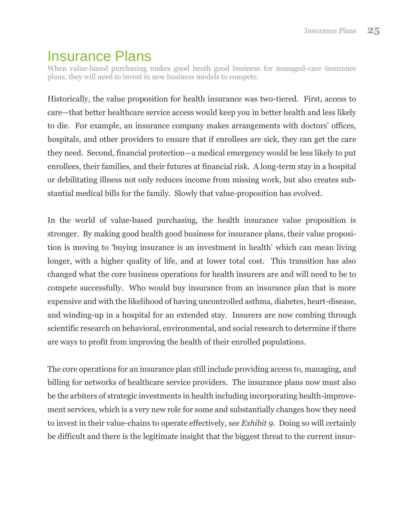### <span id="page-30-0"></span>Insurance Plans

When value-based purchasing makes good heath good business for managed-care insurance plans, they will need to invest in new business models to compete.

Historically, the value proposition for health insurance was two-tiered. First, access to care—that better healthcare service access would keep you in better health and less likely to die. For example, an insurance company makes arrangements with doctors' offices, hospitals, and other providers to ensure that if enrollees are sick, they can get the care they need. Second, financial protection—a medical emergency would be less likely to put enrollees, their families, and their futures at financial risk. A long-term stay in a hospital or debilitating illness not only reduces income from missing work, but also creates substantial medical bills for the family. Slowly that value-proposition has evolved.

In the world of value-based purchasing, the health insurance value proposition is stronger. By making good health good business for insurance plans, their value proposition is moving to 'buying insurance is an investment in health' which can mean living longer, with a higher quality of life, and at lower total cost. This transition has also changed what the core business operations for health insurers are and will need to be to compete successfully. Who would buy insurance from an insurance plan that is more expensive and with the likelihood of having uncontrolled asthma, diabetes, heart-disease, and winding-up in a hospital for an extended stay. Insurers are now combing through scientific research on behavioral, environmental, and social research to determine if there are ways to profit from improving the health of their enrolled populations.

The core operations for an insurance plan still include providing access to, managing, and billing for networks of healthcare service providers. The insurance plans now must also be the arbiters of strategic investments in health including incorporating health-improvement services, which is a very new role for some and substantially changes how they need to invest in their value-chains to operate effectively, *see Exhibit 9*. Doing so will certainly be difficult and there is the legitimate insight that the biggest threat to the current insur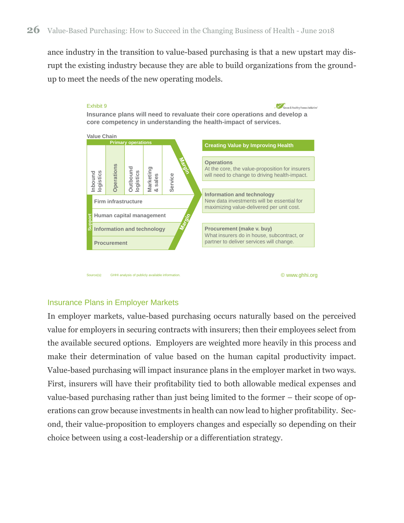ance industry in the transition to value-based purchasing is that a new upstart may disrupt the existing industry because they are able to build organizations from the groundup to meet the needs of the new operating models.



Source(s): GHHI analysis of publicly available information

© www.ghhi.org

#### <span id="page-31-0"></span>Insurance Plans in Employer Markets

In employer markets, value-based purchasing occurs naturally based on the perceived value for employers in securing contracts with insurers; then their employees select from the available secured options. Employers are weighted more heavily in this process and make their determination of value based on the human capital productivity impact. Value-based purchasing will impact insurance plans in the employer market in two ways. First, insurers will have their profitability tied to both allowable medical expenses and value-based purchasing rather than just being limited to the former – their scope of operations can grow because investments in health can now lead to higher profitability. Second, their value-proposition to employers changes and especially so depending on their choice between using a cost-leadership or a differentiation strategy.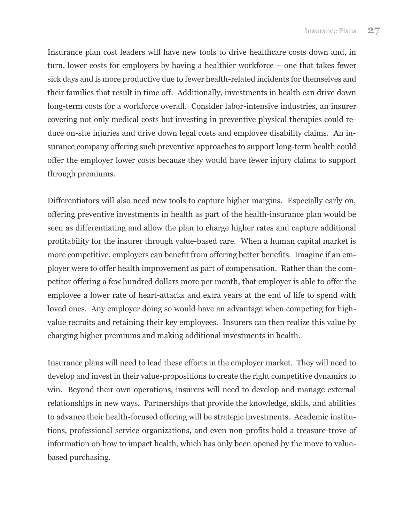Insurance plan cost leaders will have new tools to drive healthcare costs down and, in turn, lower costs for employers by having a healthier workforce – one that takes fewer sick days and is more productive due to fewer health-related incidents for themselves and their families that result in time off. Additionally, investments in health can drive down long-term costs for a workforce overall. Consider labor-intensive industries, an insurer covering not only medical costs but investing in preventive physical therapies could reduce on-site injuries and drive down legal costs and employee disability claims. An insurance company offering such preventive approaches to support long-term health could offer the employer lower costs because they would have fewer injury claims to support through premiums.

Differentiators will also need new tools to capture higher margins. Especially early on, offering preventive investments in health as part of the health-insurance plan would be seen as differentiating and allow the plan to charge higher rates and capture additional profitability for the insurer through value-based care. When a human capital market is more competitive, employers can benefit from offering better benefits. Imagine if an employer were to offer health improvement as part of compensation. Rather than the competitor offering a few hundred dollars more per month, that employer is able to offer the employee a lower rate of heart-attacks and extra years at the end of life to spend with loved ones. Any employer doing so would have an advantage when competing for highvalue recruits and retaining their key employees. Insurers can then realize this value by charging higher premiums and making additional investments in health.

Insurance plans will need to lead these efforts in the employer market. They will need to develop and invest in their value-propositions to create the right competitive dynamics to win. Beyond their own operations, insurers will need to develop and manage external relationships in new ways. Partnerships that provide the knowledge, skills, and abilities to advance their health-focused offering will be strategic investments. Academic institutions, professional service organizations, and even non-profits hold a treasure-trove of information on how to impact health, which has only been opened by the move to valuebased purchasing.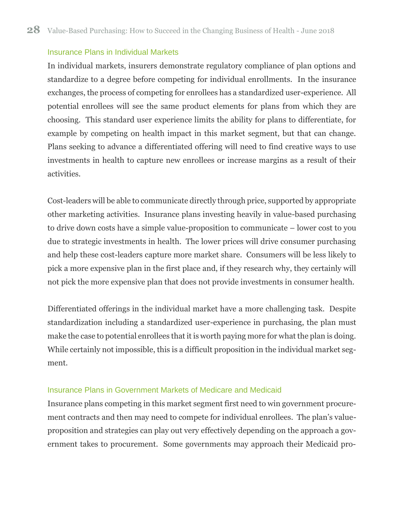#### <span id="page-33-0"></span>Insurance Plans in Individual Markets

In individual markets, insurers demonstrate regulatory compliance of plan options and standardize to a degree before competing for individual enrollments. In the insurance exchanges, the process of competing for enrollees has a standardized user-experience. All potential enrollees will see the same product elements for plans from which they are choosing. This standard user experience limits the ability for plans to differentiate, for example by competing on health impact in this market segment, but that can change. Plans seeking to advance a differentiated offering will need to find creative ways to use investments in health to capture new enrollees or increase margins as a result of their activities.

Cost-leaders will be able to communicate directly through price, supported by appropriate other marketing activities. Insurance plans investing heavily in value-based purchasing to drive down costs have a simple value-proposition to communicate – lower cost to you due to strategic investments in health. The lower prices will drive consumer purchasing and help these cost-leaders capture more market share. Consumers will be less likely to pick a more expensive plan in the first place and, if they research why, they certainly will not pick the more expensive plan that does not provide investments in consumer health.

Differentiated offerings in the individual market have a more challenging task. Despite standardization including a standardized user-experience in purchasing, the plan must make the case to potential enrollees that it is worth paying more for what the plan is doing. While certainly not impossible, this is a difficult proposition in the individual market segment.

#### <span id="page-33-1"></span>Insurance Plans in Government Markets of Medicare and Medicaid

Insurance plans competing in this market segment first need to win government procurement contracts and then may need to compete for individual enrollees. The plan's valueproposition and strategies can play out very effectively depending on the approach a government takes to procurement. Some governments may approach their Medicaid pro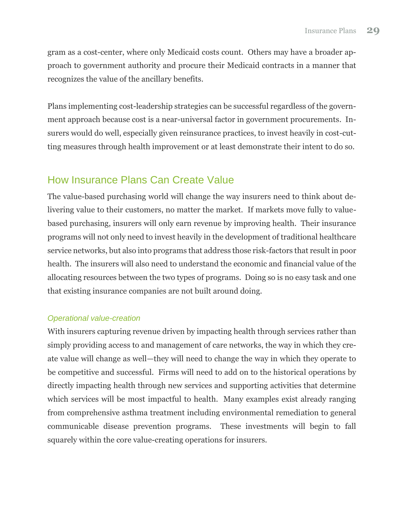gram as a cost-center, where only Medicaid costs count. Others may have a broader approach to government authority and procure their Medicaid contracts in a manner that recognizes the value of the ancillary benefits.

Plans implementing cost-leadership strategies can be successful regardless of the government approach because cost is a near-universal factor in government procurements. Insurers would do well, especially given reinsurance practices, to invest heavily in cost-cutting measures through health improvement or at least demonstrate their intent to do so.

### <span id="page-34-0"></span>How Insurance Plans Can Create Value

The value-based purchasing world will change the way insurers need to think about delivering value to their customers, no matter the market. If markets move fully to valuebased purchasing, insurers will only earn revenue by improving health. Their insurance programs will not only need to invest heavily in the development of traditional healthcare service networks, but also into programs that address those risk-factors that result in poor health. The insurers will also need to understand the economic and financial value of the allocating resources between the two types of programs. Doing so is no easy task and one that existing insurance companies are not built around doing.

### <span id="page-34-1"></span>*Operational value-creation*

With insurers capturing revenue driven by impacting health through services rather than simply providing access to and management of care networks, the way in which they create value will change as well—they will need to change the way in which they operate to be competitive and successful. Firms will need to add on to the historical operations by directly impacting health through new services and supporting activities that determine which services will be most impactful to health. Many examples exist already ranging from comprehensive asthma treatment including environmental remediation to general communicable disease prevention programs. These investments will begin to fall squarely within the core value-creating operations for insurers.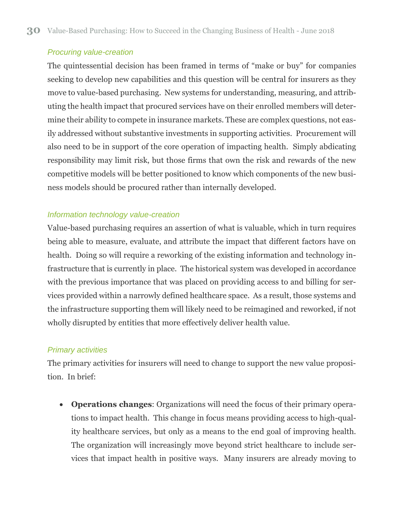#### <span id="page-35-0"></span>*Procuring value-creation*

The quintessential decision has been framed in terms of "make or buy" for companies seeking to develop new capabilities and this question will be central for insurers as they move to value-based purchasing. New systems for understanding, measuring, and attributing the health impact that procured services have on their enrolled members will determine their ability to compete in insurance markets. These are complex questions, not easily addressed without substantive investments in supporting activities. Procurement will also need to be in support of the core operation of impacting health. Simply abdicating responsibility may limit risk, but those firms that own the risk and rewards of the new competitive models will be better positioned to know which components of the new business models should be procured rather than internally developed.

#### <span id="page-35-1"></span>*Information technology value-creation*

Value-based purchasing requires an assertion of what is valuable, which in turn requires being able to measure, evaluate, and attribute the impact that different factors have on health. Doing so will require a reworking of the existing information and technology infrastructure that is currently in place. The historical system was developed in accordance with the previous importance that was placed on providing access to and billing for services provided within a narrowly defined healthcare space. As a result, those systems and the infrastructure supporting them will likely need to be reimagined and reworked, if not wholly disrupted by entities that more effectively deliver health value.

#### <span id="page-35-2"></span>*Primary activities*

The primary activities for insurers will need to change to support the new value proposition. In brief:

• **Operations changes**: Organizations will need the focus of their primary operations to impact health. This change in focus means providing access to high-quality healthcare services, but only as a means to the end goal of improving health. The organization will increasingly move beyond strict healthcare to include services that impact health in positive ways. Many insurers are already moving to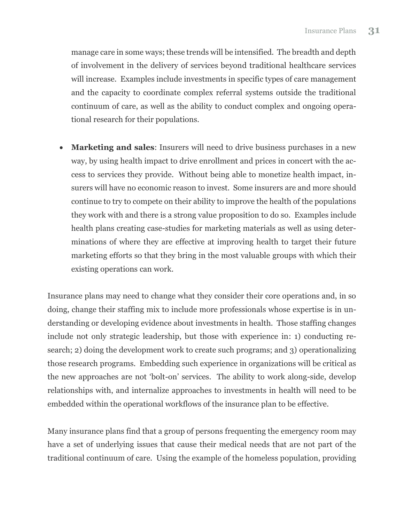manage care in some ways; these trends will be intensified. The breadth and depth of involvement in the delivery of services beyond traditional healthcare services will increase. Examples include investments in specific types of care management and the capacity to coordinate complex referral systems outside the traditional continuum of care, as well as the ability to conduct complex and ongoing operational research for their populations.

• **Marketing and sales**: Insurers will need to drive business purchases in a new way, by using health impact to drive enrollment and prices in concert with the access to services they provide. Without being able to monetize health impact, insurers will have no economic reason to invest. Some insurers are and more should continue to try to compete on their ability to improve the health of the populations they work with and there is a strong value proposition to do so. Examples include health plans creating case-studies for marketing materials as well as using determinations of where they are effective at improving health to target their future marketing efforts so that they bring in the most valuable groups with which their existing operations can work.

Insurance plans may need to change what they consider their core operations and, in so doing, change their staffing mix to include more professionals whose expertise is in understanding or developing evidence about investments in health. Those staffing changes include not only strategic leadership, but those with experience in: 1) conducting research; 2) doing the development work to create such programs; and 3) operationalizing those research programs. Embedding such experience in organizations will be critical as the new approaches are not 'bolt-on' services. The ability to work along-side, develop relationships with, and internalize approaches to investments in health will need to be embedded within the operational workflows of the insurance plan to be effective.

Many insurance plans find that a group of persons frequenting the emergency room may have a set of underlying issues that cause their medical needs that are not part of the traditional continuum of care. Using the example of the homeless population, providing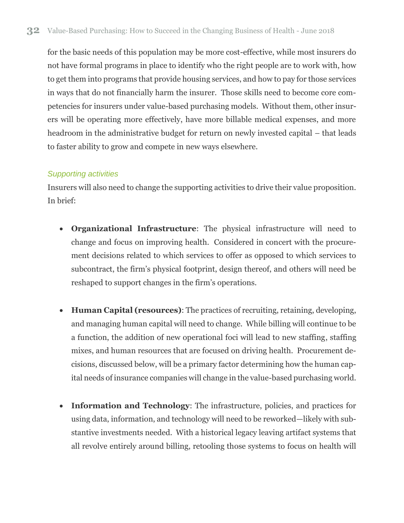for the basic needs of this population may be more cost-effective, while most insurers do not have formal programs in place to identify who the right people are to work with, how to get them into programs that provide housing services, and how to pay for those services in ways that do not financially harm the insurer. Those skills need to become core competencies for insurers under value-based purchasing models. Without them, other insurers will be operating more effectively, have more billable medical expenses, and more headroom in the administrative budget for return on newly invested capital – that leads to faster ability to grow and compete in new ways elsewhere.

### <span id="page-37-0"></span>*Supporting activities*

Insurers will also need to change the supporting activities to drive their value proposition. In brief:

- **Organizational Infrastructure**: The physical infrastructure will need to change and focus on improving health. Considered in concert with the procurement decisions related to which services to offer as opposed to which services to subcontract, the firm's physical footprint, design thereof, and others will need be reshaped to support changes in the firm's operations.
- **Human Capital (resources)**: The practices of recruiting, retaining, developing, and managing human capital will need to change. While billing will continue to be a function, the addition of new operational foci will lead to new staffing, staffing mixes, and human resources that are focused on driving health. Procurement decisions, discussed below, will be a primary factor determining how the human capital needs of insurance companies will change in the value-based purchasing world.
- **Information and Technology**: The infrastructure, policies, and practices for using data, information, and technology will need to be reworked—likely with substantive investments needed. With a historical legacy leaving artifact systems that all revolve entirely around billing, retooling those systems to focus on health will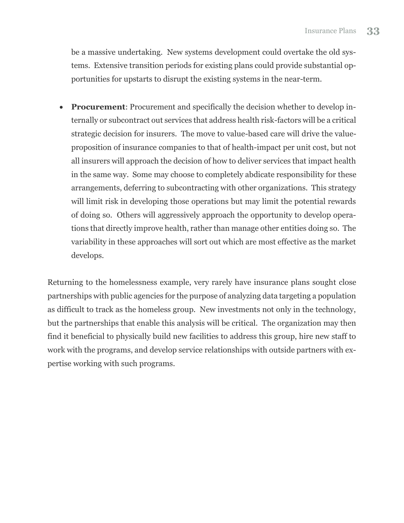be a massive undertaking. New systems development could overtake the old systems. Extensive transition periods for existing plans could provide substantial opportunities for upstarts to disrupt the existing systems in the near-term.

• **Procurement**: Procurement and specifically the decision whether to develop internally or subcontract out services that address health risk-factors will be a critical strategic decision for insurers. The move to value-based care will drive the valueproposition of insurance companies to that of health-impact per unit cost, but not all insurers will approach the decision of how to deliver services that impact health in the same way. Some may choose to completely abdicate responsibility for these arrangements, deferring to subcontracting with other organizations. This strategy will limit risk in developing those operations but may limit the potential rewards of doing so. Others will aggressively approach the opportunity to develop operations that directly improve health, rather than manage other entities doing so. The variability in these approaches will sort out which are most effective as the market develops.

Returning to the homelessness example, very rarely have insurance plans sought close partnerships with public agencies for the purpose of analyzing data targeting a population as difficult to track as the homeless group. New investments not only in the technology, but the partnerships that enable this analysis will be critical. The organization may then find it beneficial to physically build new facilities to address this group, hire new staff to work with the programs, and develop service relationships with outside partners with expertise working with such programs.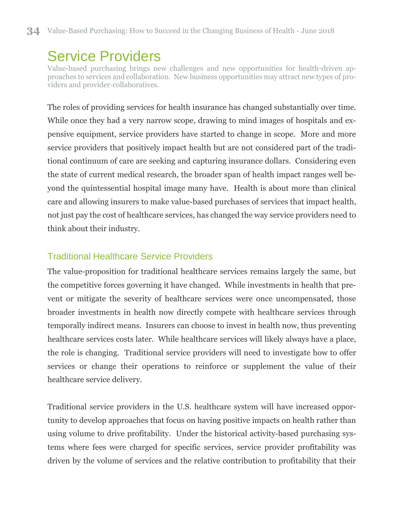## <span id="page-39-0"></span>Service Providers

Value-based purchasing brings new challenges and new opportunities for health-driven approaches to services and collaboration. New business opportunities may attract new types of providers and provider-collaboratives.

The roles of providing services for health insurance has changed substantially over time. While once they had a very narrow scope, drawing to mind images of hospitals and expensive equipment, service providers have started to change in scope. More and more service providers that positively impact health but are not considered part of the traditional continuum of care are seeking and capturing insurance dollars. Considering even the state of current medical research, the broader span of health impact ranges well beyond the quintessential hospital image many have. Health is about more than clinical care and allowing insurers to make value-based purchases of services that impact health, not just pay the cost of healthcare services, has changed the way service providers need to think about their industry.

### <span id="page-39-1"></span>Traditional Healthcare Service Providers

The value-proposition for traditional healthcare services remains largely the same, but the competitive forces governing it have changed. While investments in health that prevent or mitigate the severity of healthcare services were once uncompensated, those broader investments in health now directly compete with healthcare services through temporally indirect means. Insurers can choose to invest in health now, thus preventing healthcare services costs later. While healthcare services will likely always have a place, the role is changing. Traditional service providers will need to investigate how to offer services or change their operations to reinforce or supplement the value of their healthcare service delivery.

Traditional service providers in the U.S. healthcare system will have increased opportunity to develop approaches that focus on having positive impacts on health rather than using volume to drive profitability. Under the historical activity-based purchasing systems where fees were charged for specific services, service provider profitability was driven by the volume of services and the relative contribution to profitability that their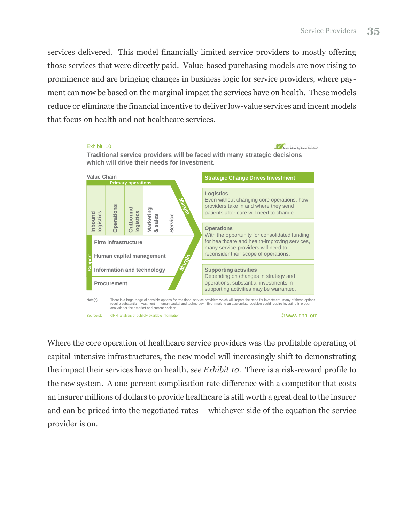services delivered. This model financially limited service providers to mostly offering those services that were directly paid. Value-based purchasing models are now rising to prominence and are bringing changes in business logic for service providers, where payment can now be based on the marginal impact the services have on health. These models reduce or eliminate the financial incentive to deliver low-value services and incent models that focus on health and not healthcare services.



Where the core operation of healthcare service providers was the profitable operating of capital-intensive infrastructures, the new model will increasingly shift to demonstrating the impact their services have on health, *see Exhibit 10*. There is a risk-reward profile to the new system. A one-percent complication rate difference with a competitor that costs an insurer millions of dollars to provide healthcare is still worth a great deal to the insurer and can be priced into the negotiated rates – whichever side of the equation the service provider is on.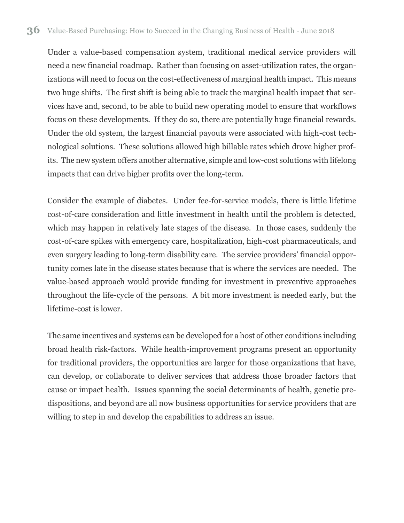Under a value-based compensation system, traditional medical service providers will need a new financial roadmap. Rather than focusing on asset-utilization rates, the organizations will need to focus on the cost-effectiveness of marginal health impact. This means two huge shifts. The first shift is being able to track the marginal health impact that services have and, second, to be able to build new operating model to ensure that workflows focus on these developments. If they do so, there are potentially huge financial rewards. Under the old system, the largest financial payouts were associated with high-cost technological solutions. These solutions allowed high billable rates which drove higher profits. The new system offers another alternative, simple and low-cost solutions with lifelong impacts that can drive higher profits over the long-term.

Consider the example of diabetes. Under fee-for-service models, there is little lifetime cost-of-care consideration and little investment in health until the problem is detected, which may happen in relatively late stages of the disease. In those cases, suddenly the cost-of-care spikes with emergency care, hospitalization, high-cost pharmaceuticals, and even surgery leading to long-term disability care. The service providers' financial opportunity comes late in the disease states because that is where the services are needed. The value-based approach would provide funding for investment in preventive approaches throughout the life-cycle of the persons. A bit more investment is needed early, but the lifetime-cost is lower.

The same incentives and systems can be developed for a host of other conditions including broad health risk-factors. While health-improvement programs present an opportunity for traditional providers, the opportunities are larger for those organizations that have, can develop, or collaborate to deliver services that address those broader factors that cause or impact health. Issues spanning the social determinants of health, genetic predispositions, and beyond are all now business opportunities for service providers that are willing to step in and develop the capabilities to address an issue.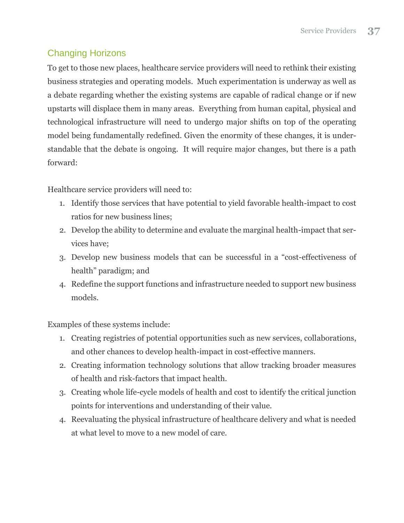### <span id="page-42-0"></span>Changing Horizons

To get to those new places, healthcare service providers will need to rethink their existing business strategies and operating models. Much experimentation is underway as well as a debate regarding whether the existing systems are capable of radical change or if new upstarts will displace them in many areas. Everything from human capital, physical and technological infrastructure will need to undergo major shifts on top of the operating model being fundamentally redefined. Given the enormity of these changes, it is understandable that the debate is ongoing. It will require major changes, but there is a path forward:

Healthcare service providers will need to:

- 1. Identify those services that have potential to yield favorable health-impact to cost ratios for new business lines;
- 2. Develop the ability to determine and evaluate the marginal health-impact that services have;
- 3. Develop new business models that can be successful in a "cost-effectiveness of health" paradigm; and
- 4. Redefine the support functions and infrastructure needed to support new business models.

Examples of these systems include:

- 1. Creating registries of potential opportunities such as new services, collaborations, and other chances to develop health-impact in cost-effective manners.
- 2. Creating information technology solutions that allow tracking broader measures of health and risk-factors that impact health.
- 3. Creating whole life-cycle models of health and cost to identify the critical junction points for interventions and understanding of their value.
- 4. Reevaluating the physical infrastructure of healthcare delivery and what is needed at what level to move to a new model of care.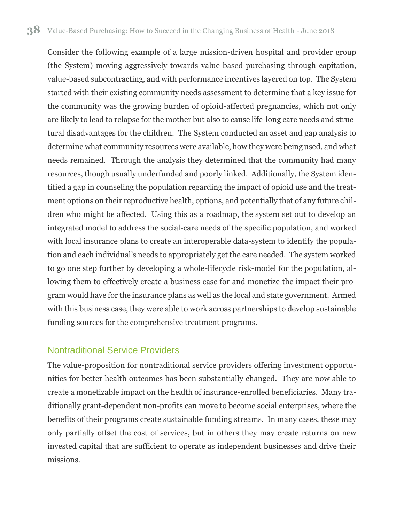Consider the following example of a large mission-driven hospital and provider group (the System) moving aggressively towards value-based purchasing through capitation, value-based subcontracting, and with performance incentives layered on top. The System started with their existing community needs assessment to determine that a key issue for the community was the growing burden of opioid-affected pregnancies, which not only are likely to lead to relapse for the mother but also to cause life-long care needs and structural disadvantages for the children. The System conducted an asset and gap analysis to determine what community resources were available, how they were being used, and what needs remained. Through the analysis they determined that the community had many resources, though usually underfunded and poorly linked. Additionally, the System identified a gap in counseling the population regarding the impact of opioid use and the treatment options on their reproductive health, options, and potentially that of any future children who might be affected. Using this as a roadmap, the system set out to develop an integrated model to address the social-care needs of the specific population, and worked with local insurance plans to create an interoperable data-system to identify the population and each individual's needs to appropriately get the care needed. The system worked to go one step further by developing a whole-lifecycle risk-model for the population, allowing them to effectively create a business case for and monetize the impact their program would have for the insurance plans as well as the local and state government. Armed with this business case, they were able to work across partnerships to develop sustainable funding sources for the comprehensive treatment programs.

### <span id="page-43-0"></span>Nontraditional Service Providers

The value-proposition for nontraditional service providers offering investment opportunities for better health outcomes has been substantially changed. They are now able to create a monetizable impact on the health of insurance-enrolled beneficiaries. Many traditionally grant-dependent non-profits can move to become social enterprises, where the benefits of their programs create sustainable funding streams. In many cases, these may only partially offset the cost of services, but in others they may create returns on new invested capital that are sufficient to operate as independent businesses and drive their missions.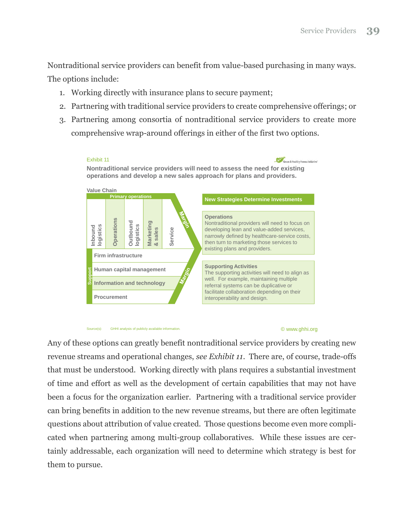Nontraditional service providers can benefit from value-based purchasing in many ways. The options include:

- 1. Working directly with insurance plans to secure payment;
- 2. Partnering with traditional service providers to create comprehensive offerings; or
- 3. Partnering among consortia of nontraditional service providers to create more comprehensive wrap-around offerings in either of the first two options.



#### Source(s): GHHI analysis of publicly available information.

#### © www.ghhi.org

Any of these options can greatly benefit nontraditional service providers by creating new revenue streams and operational changes, *see Exhibit 11*. There are, of course, trade-offs that must be understood. Working directly with plans requires a substantial investment of time and effort as well as the development of certain capabilities that may not have been a focus for the organization earlier. Partnering with a traditional service provider can bring benefits in addition to the new revenue streams, but there are often legitimate questions about attribution of value created. Those questions become even more complicated when partnering among multi-group collaboratives. While these issues are certainly addressable, each organization will need to determine which strategy is best for them to pursue.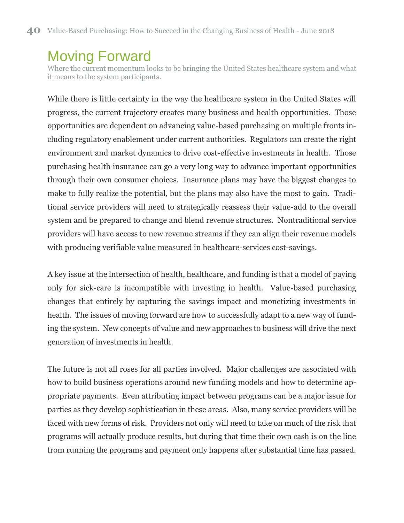# <span id="page-45-0"></span>Moving Forward

Where the current momentum looks to be bringing the United States healthcare system and what it means to the system participants.

While there is little certainty in the way the healthcare system in the United States will progress, the current trajectory creates many business and health opportunities. Those opportunities are dependent on advancing value-based purchasing on multiple fronts including regulatory enablement under current authorities. Regulators can create the right environment and market dynamics to drive cost-effective investments in health. Those purchasing health insurance can go a very long way to advance important opportunities through their own consumer choices. Insurance plans may have the biggest changes to make to fully realize the potential, but the plans may also have the most to gain. Traditional service providers will need to strategically reassess their value-add to the overall system and be prepared to change and blend revenue structures. Nontraditional service providers will have access to new revenue streams if they can align their revenue models with producing verifiable value measured in healthcare-services cost-savings.

A key issue at the intersection of health, healthcare, and funding is that a model of paying only for sick-care is incompatible with investing in health. Value-based purchasing changes that entirely by capturing the savings impact and monetizing investments in health. The issues of moving forward are how to successfully adapt to a new way of funding the system. New concepts of value and new approaches to business will drive the next generation of investments in health.

The future is not all roses for all parties involved. Major challenges are associated with how to build business operations around new funding models and how to determine appropriate payments. Even attributing impact between programs can be a major issue for parties as they develop sophistication in these areas. Also, many service providers will be faced with new forms of risk. Providers not only will need to take on much of the risk that programs will actually produce results, but during that time their own cash is on the line from running the programs and payment only happens after substantial time has passed.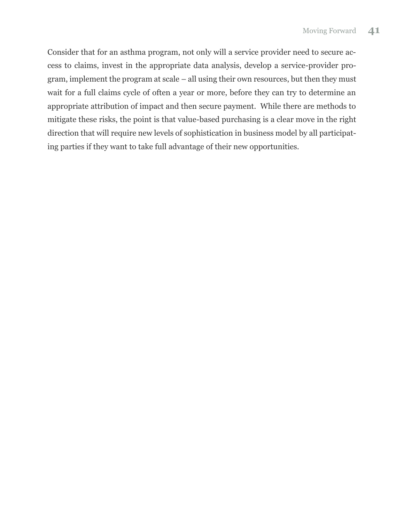Consider that for an asthma program, not only will a service provider need to secure access to claims, invest in the appropriate data analysis, develop a service-provider program, implement the program at scale – all using their own resources, but then they must wait for a full claims cycle of often a year or more, before they can try to determine an appropriate attribution of impact and then secure payment. While there are methods to mitigate these risks, the point is that value-based purchasing is a clear move in the right direction that will require new levels of sophistication in business model by all participating parties if they want to take full advantage of their new opportunities.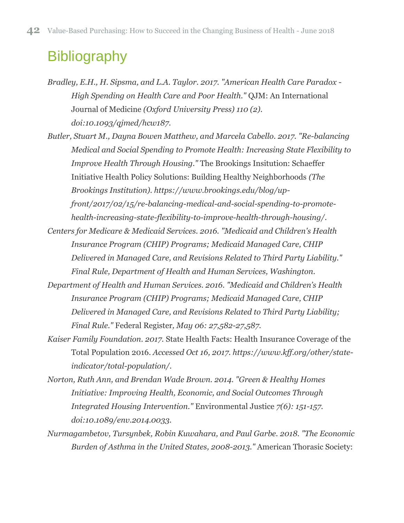# <span id="page-47-0"></span>**Bibliography**

- *Bradley, E.H., H. Sipsma, and L.A. Taylor. 2017. "American Health Care Paradox - High Spending on Health Care and Poor Health."* QJM: An International Journal of Medicine *(Oxford University Press) 110 (2). doi:10.1093/qjmed/hcw187.*
- *Butler, Stuart M., Dayna Bowen Matthew, and Marcela Cabello. 2017. "Re-balancing Medical and Social Spending to Promote Health: Increasing State Flexibility to Improve Health Through Housing."* The Brookings Insitution: Schaeffer Initiative Health Policy Solutions: Building Healthy Neighborhoods *(The Brookings Institution). https://www.brookings.edu/blog/upfront/2017/02/15/re-balancing-medical-and-social-spending-to-promotehealth-increasing-state-flexibility-to-improve-health-through-housing/.*
- *Centers for Medicare & Medicaid Services. 2016. "Medicaid and Children's Health Insurance Program (CHIP) Programs; Medicaid Managed Care, CHIP Delivered in Managed Care, and Revisions Related to Third Party Liability." Final Rule, Department of Health and Human Services, Washington.*
- *Department of Health and Human Services. 2016. "Medicaid and Children's Health Insurance Program (CHIP) Programs; Medicaid Managed Care, CHIP Delivered in Managed Care, and Revisions Related to Third Party Liability; Final Rule."* Federal Register*, May 06: 27,582-27,587.*
- *Kaiser Family Foundation. 2017.* State Health Facts: Health Insurance Coverage of the Total Population 2016. *Accessed Oct 16, 2017. https://www.kff.org/other/stateindicator/total-population/.*
- *Norton, Ruth Ann, and Brendan Wade Brown. 2014. "Green & Healthy Homes Initiative: Improving Health, Economic, and Social Outcomes Through Integrated Housing Intervention."* Environmental Justice *7(6): 151-157. doi:10.1089/env.2014.0033.*
- *Nurmagambetov, Tursynbek, Robin Kuwahara, and Paul Garbe. 2018. "The Economic Burden of Asthma in the United States, 2008-2013."* American Thorasic Society: